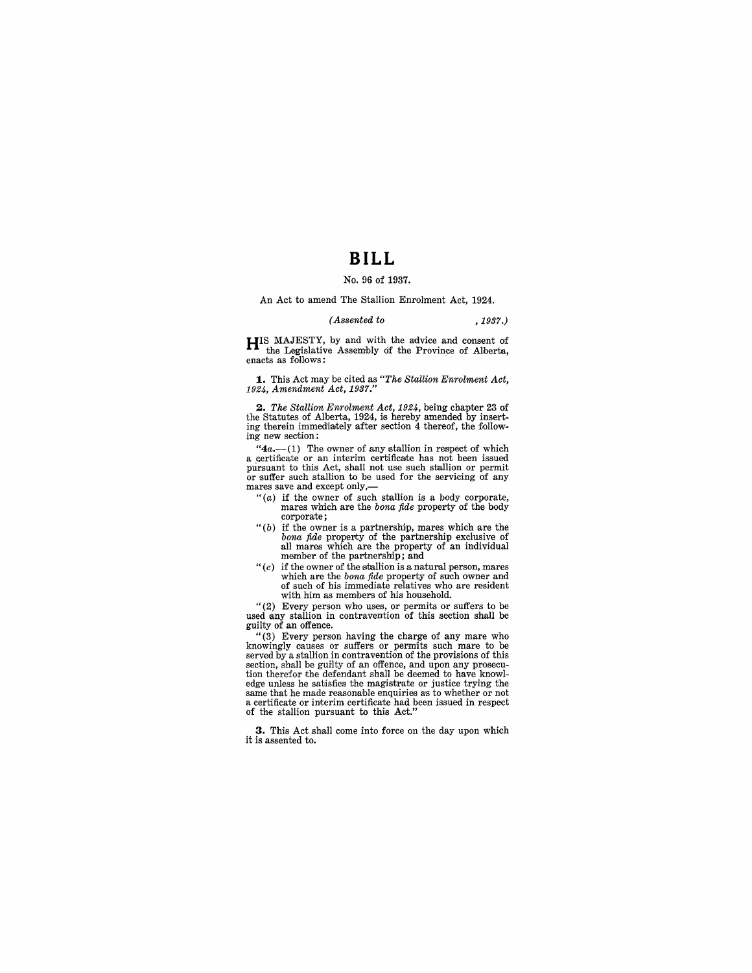# **BILL**

### No. 96 of 1937.

An Act to amend The Stallion Enrolment Act, 1924.

#### *(Assented to* ,1937.)

**HIS** MAJESTY, by and with the advice and consent of the Legislative Assembly of the Province of Alberta, enacts as follows:

**1.** This Act may be cited as *"The Stallion Enrolment Act, 1924, Amendment Act, 1937."* 

2. The Stallion Enrolment Act, 1924, being chapter 23 of the Statutes of Alberta, 1924, is hereby amended by inserting therein immediately after section 4 thereof, the following new section:

" $4a$ .--(1) The owner of any stallion in respect of which a certificate or an interim certificate has not been issued pursuant to this Act, shall not use such stallion or permit or suffer such stallion to be used for the servicing of any mares save and except only,—<br>"(*a*) if the owner of such stallion is a body corporate,

- mares which are the *bona fide* property of the *body* corporate, corporate;
- "(b) if the owner is a partnership, mares which are the *bona fide* property of the partnership exclusive of all mares which are the property of an individual member of the partnership; and
- *"(c)* if the owner of the stallion is a natural person, mares which are the *bona fide* property of such owner and of such of his immediate relatives who are resident with him as members of his household.

"(2) Every person who uses, or permits or suffers to be used any stallion in contravention of this section shall be guilty of an offence.

"(3) Every person having the charge of any mare who knowingly causes or suffers or permits such mare to be served by a stallion in contravention of the provisions of this section, shall be guilty of an offence, and upon any prosecution therefor the defendant shall be deemed to have knowledge unless he satisfies the magistrate or justice trying the same that he made reasonable enquiries as to whether or not a certificate or interim certificate had been issued in respect of the stallion pursuant to this Act."

**3.** This Act shall come into force on the day upon which it is assented to.